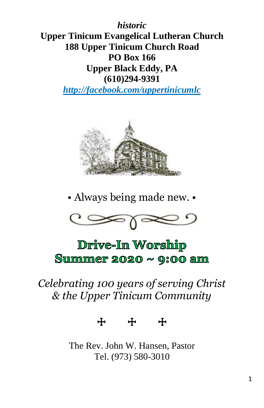*historic* **Upper Tinicum Evangelical Lutheran Church 188 Upper Tinicum Church Road PO Box 166 Upper Black Eddy, PA (610)294-9391**

*http://facebook.com/uppertinicumlc*



• Always being made new. •



# Drive-In Worship Summer 2020  $\sim$  9:00 am

## *Celebrating 100 years of serving Christ & the Upper Tinicum Community*

☩ ☩ ☩

The Rev. John W. Hansen, Pastor Tel. (973) 580-3010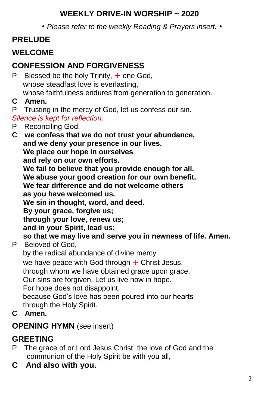#### **WEEKLY DRIVE-IN WORSHIP ~ 2020**

*• Please refer to the weekly Reading & Prayers insert. •*

## **PRELUDE**

## **WELCOME**

## **CONFESSION AND FORGIVENESS**

P Blessed be the holy Trinity,  $\pm$  one God, whose steadfast love is everlasting. whose faithfulness endures from generation to generation.

**C Amen.**

P Trusting in the mercy of God, let us confess our sin. *Silence is kept for reflection.*

P Reconciling God,

**C we confess that we do not trust your abundance, and we deny your presence in our lives. We place our hope in ourselves and rely on our own efforts. We fail to believe that you provide enough for all. We abuse your good creation for our own benefit. We fear difference and do not welcome others as you have welcomed us. We sin in thought, word, and deed. By your grace, forgive us; through your love, renew us; and in your Spirit, lead us; so that we may live and serve you in newness of life. Amen.** P Beloved of God, by the radical abundance of divine mercy we have peace with God through  $+$  Christ Jesus, through whom we have obtained grace upon grace. Our sins are forgiven. Let us live now in hope. For hope does not disappoint, because God's love has been poured into our hearts through the Holy Spirit.

**C Amen.**

#### **OPENING HYMN** (see insert)

#### **GREETING**

- P The grace of or Lord Jesus Christ, the love of God and the communion of the Holy Spirit be with you all,
- **C And also with you.**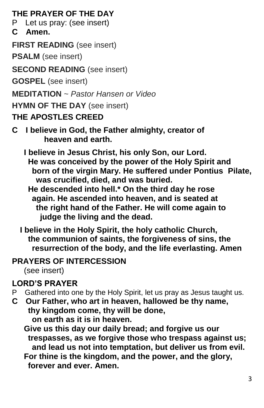#### **THE PRAYER OF THE DAY**

P Let us pray: (see insert)

**C Amen.**

**FIRST READING** (see insert)

**PSALM** (see insert)

**SECOND READING** (see insert)

**GOSPEL** (see insert)

**MEDITATION** ~ *Pastor Hansen or Video*

**HYMN OF THE DAY** (see insert)

### **THE APOSTLES CREED**

**C I believe in God, the Father almighty, creator of heaven and earth.**

 **I believe in Jesus Christ, his only Son, our Lord. He was conceived by the power of the Holy Spirit and born of the virgin Mary. He suffered under Pontius Pilate, was crucified, died, and was buried.**

- **He descended into hell.\* On the third day he rose again. He ascended into heaven, and is seated at the right hand of the Father. He will come again to judge the living and the dead.**
- **I believe in the Holy Spirit, the holy catholic Church, the communion of saints, the forgiveness of sins, the resurrection of the body, and the life everlasting. Amen**

#### **PRAYERS OF INTERCESSION**

(see insert)

## **LORD'S PRAYER**

- P Gathered into one by the Holy Spirit, let us pray as Jesus taught us.
- **C Our Father, who art in heaven, hallowed be thy name, thy kingdom come, thy will be done, on earth as it is in heaven.**

 **Give us this day our daily bread; and forgive us our trespasses, as we forgive those who trespass against us; and lead us not into temptation, but deliver us from evil. For thine is the kingdom, and the power, and the glory, forever and ever. Amen.**